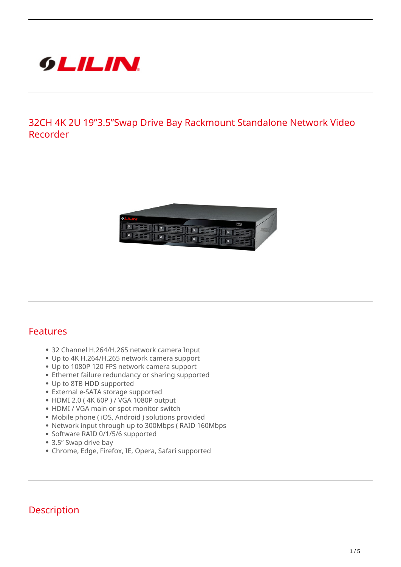

**32CH 4K 2U 19"3.5"Swap Drive Bay Rackmount Standalone Network Video Recorder**



## **Features**

- 32 Channel H.264/H.265 network camera Input
- Up to 4K H.264/H.265 network camera support
- Up to 1080P 120 FPS network camera support
- Ethernet failure redundancy or sharing supported
- Up to 8TB HDD supported
- External e-SATA storage supported
- HDMI 2.0 ( 4K 60P ) / VGA 1080P output
- HDMI / VGA main or spot monitor switch
- Mobile phone ( iOS, Android ) solutions provided
- Network input through up to 300Mbps ( RAID 160Mbps
- Software RAID 0/1/5/6 supported
- 3.5" Swap drive bay
- Chrome, Edge, Firefox, IE, Opera, Safari supported

## **Description**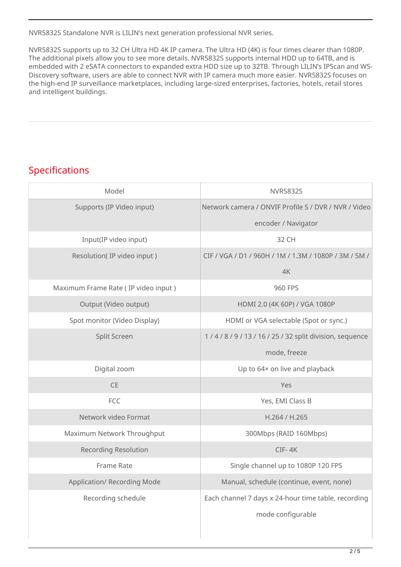NVR5832S Standalone NVR is LILIN's next generation professional NVR series.

NVR5832S supports up to 32 CH Ultra HD 4K IP camera. The Ultra HD (4K) is four times clearer than 1080P. The additional pixels allow you to see more details. NVR5832S supports internal HDD up to 64TB, and is embedded with 2 eSATA connectors to expanded extra HDD size up to 32TB. Through LILIN's IPScan and WS-Discovery software, users are able to connect NVR with IP camera much more easier. NVR5832S focuses on the high-end IP surveillance marketplaces, including large-sized enterprises, factories, hotels, retail stores and intelligent buildings.

## **Specifications**

| Model                               | <b>NVR5832S</b>                                       |
|-------------------------------------|-------------------------------------------------------|
| Supports (IP Video input)           | Network camera / ONVIF Profile S / DVR / NVR / Video  |
|                                     | encoder / Navigator                                   |
| Input(IP video input)               | 32 CH                                                 |
| Resolution(IP video input)          | CIF / VGA / D1 / 960H / 1M / 1.3M / 1080P / 3M / 5M / |
|                                     | 4K                                                    |
| Maximum Frame Rate (IP video input) | 960 FPS                                               |
| Output (Video output)               | HDMI 2.0 (4K 60P) / VGA 1080P                         |
| Spot monitor (Video Display)        | HDMI or VGA selectable (Spot or sync.)                |
| Split Screen                        | 1/4/8/9/13/16/25/32 split division, sequence          |
|                                     | mode, freeze                                          |
| Digital zoom                        | Up to 64x on live and playback                        |
| <b>CE</b>                           | Yes                                                   |
| FCC                                 | Yes, EMI Class B                                      |
| Network video Format                | H.264 / H.265                                         |
| Maximum Network Throughput          | 300Mbps (RAID 160Mbps)                                |
| <b>Recording Resolution</b>         | CIF-4K                                                |
| <b>Frame Rate</b>                   | Single channel up to 1080P 120 FPS                    |
| Application/ Recording Mode         | Manual, schedule (continue, event, none)              |
| Recording schedule                  | Each channel 7 days x 24-hour time table, recording   |
|                                     | mode configurable                                     |
|                                     |                                                       |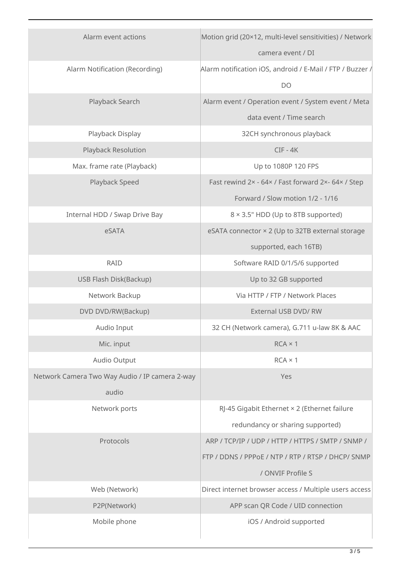| Alarm event actions                            | Motion grid (20×12, multi-level sensitivities) / Network  |
|------------------------------------------------|-----------------------------------------------------------|
|                                                | camera event / DI                                         |
| Alarm Notification (Recording)                 | Alarm notification iOS, android / E-Mail / FTP / Buzzer / |
|                                                | D <sub>O</sub>                                            |
| Playback Search                                | Alarm event / Operation event / System event / Meta       |
|                                                | data event / Time search                                  |
| Playback Display                               | 32CH synchronous playback                                 |
| Playback Resolution                            | $CIF - 4K$                                                |
| Max. frame rate (Playback)                     | Up to 1080P 120 FPS                                       |
| Playback Speed                                 | Fast rewind 2x - 64x / Fast forward 2x- 64x / Step        |
|                                                | Forward / Slow motion 1/2 - 1/16                          |
| Internal HDD / Swap Drive Bay                  | 8 × 3.5" HDD (Up to 8TB supported)                        |
| eSATA                                          | eSATA connector × 2 (Up to 32TB external storage          |
|                                                | supported, each 16TB)                                     |
| <b>RAID</b>                                    | Software RAID 0/1/5/6 supported                           |
| USB Flash Disk(Backup)                         | Up to 32 GB supported                                     |
| Network Backup                                 | Via HTTP / FTP / Network Places                           |
| DVD DVD/RW(Backup)                             | External USB DVD/ RW                                      |
| Audio Input                                    | 32 CH (Network camera), G.711 u-law 8K & AAC              |
| Mic. input                                     | $RCA \times 1$                                            |
| Audio Output                                   | $RCA \times 1$                                            |
| Network Camera Two Way Audio / IP camera 2-way | Yes                                                       |
| audio                                          |                                                           |
| Network ports                                  | RJ-45 Gigabit Ethernet × 2 (Ethernet failure              |
|                                                | redundancy or sharing supported)                          |
| Protocols                                      | ARP / TCP/IP / UDP / HTTP / HTTPS / SMTP / SNMP /         |
|                                                | FTP / DDNS / PPPoE / NTP / RTP / RTSP / DHCP/ SNMP        |
|                                                | / ONVIF Profile S                                         |
| Web (Network)                                  | Direct internet browser access / Multiple users access    |
| P2P(Network)                                   | APP scan QR Code / UID connection                         |
| Mobile phone                                   | iOS / Android supported                                   |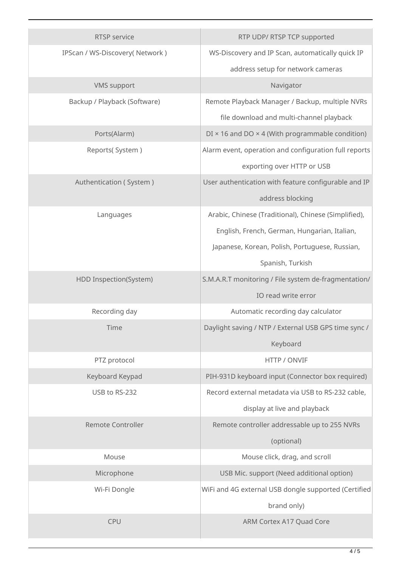| RTSP service                   | RTP UDP/ RTSP TCP supported                                    |
|--------------------------------|----------------------------------------------------------------|
| IPScan / WS-Discovery(Network) | WS-Discovery and IP Scan, automatically quick IP               |
|                                | address setup for network cameras                              |
| <b>VMS</b> support             | Navigator                                                      |
| Backup / Playback (Software)   | Remote Playback Manager / Backup, multiple NVRs                |
|                                | file download and multi-channel playback                       |
| Ports(Alarm)                   | $DI \times 16$ and $DO \times 4$ (With programmable condition) |
| Reports(System)                | Alarm event, operation and configuration full reports          |
|                                | exporting over HTTP or USB                                     |
| Authentication (System)        | User authentication with feature configurable and IP           |
|                                | address blocking                                               |
| Languages                      | Arabic, Chinese (Traditional), Chinese (Simplified),           |
|                                | English, French, German, Hungarian, Italian,                   |
|                                | Japanese, Korean, Polish, Portuguese, Russian,                 |
|                                | Spanish, Turkish                                               |
| HDD Inspection(System)         | S.M.A.R.T monitoring / File system de-fragmentation/           |
|                                | IO read write error                                            |
| Recording day                  | Automatic recording day calculator                             |
| Time                           | Daylight saving / NTP / External USB GPS time sync /           |
|                                | Keyboard                                                       |
| PTZ protocol                   | HTTP / ONVIF                                                   |
| Keyboard Keypad                | PIH-931D keyboard input (Connector box required)               |
| USB to RS-232                  | Record external metadata via USB to RS-232 cable,              |
|                                | display at live and playback                                   |
| <b>Remote Controller</b>       | Remote controller addressable up to 255 NVRs                   |
|                                | (optional)                                                     |
| Mouse                          | Mouse click, drag, and scroll                                  |
| Microphone                     | USB Mic. support (Need additional option)                      |
| Wi-Fi Dongle                   | WiFi and 4G external USB dongle supported (Certified           |
|                                | brand only)                                                    |
| <b>CPU</b>                     | ARM Cortex A17 Quad Core                                       |